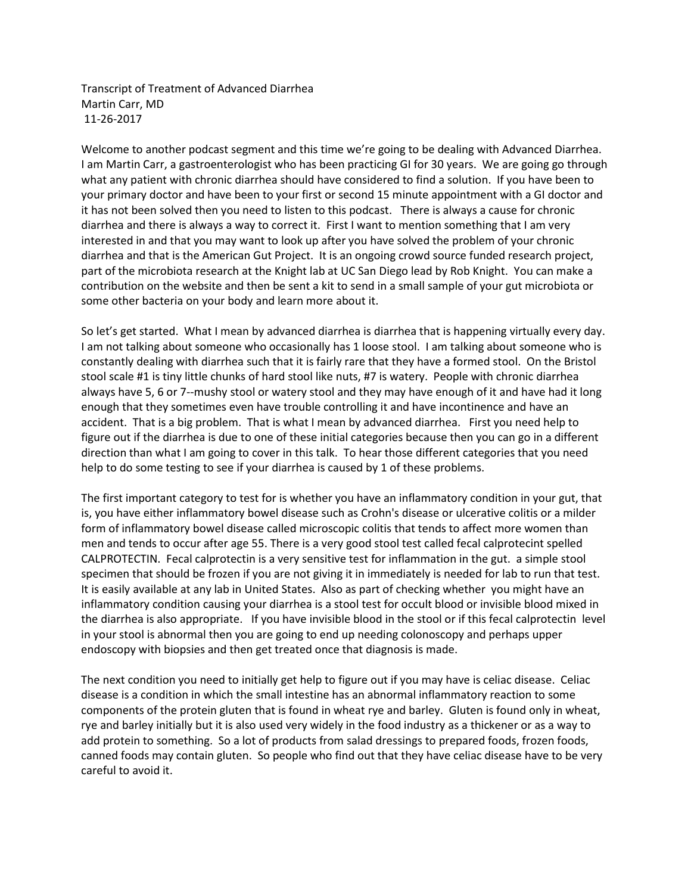Transcript of Treatment of Advanced Diarrhea Martin Carr, MD 11-26-2017

Welcome to another podcast segment and this time we're going to be dealing with Advanced Diarrhea. I am Martin Carr, a gastroenterologist who has been practicing GI for 30 years. We are going go through what any patient with chronic diarrhea should have considered to find a solution. If you have been to your primary doctor and have been to your first or second 15 minute appointment with a GI doctor and it has not been solved then you need to listen to this podcast. There is always a cause for chronic diarrhea and there is always a way to correct it. First I want to mention something that I am very interested in and that you may want to look up after you have solved the problem of your chronic diarrhea and that is the American Gut Project. It is an ongoing crowd source funded research project, part of the microbiota research at the Knight lab at UC San Diego lead by Rob Knight. You can make a contribution on the website and then be sent a kit to send in a small sample of your gut microbiota or some other bacteria on your body and learn more about it.

So let's get started. What I mean by advanced diarrhea is diarrhea that is happening virtually every day. I am not talking about someone who occasionally has 1 loose stool. I am talking about someone who is constantly dealing with diarrhea such that it is fairly rare that they have a formed stool. On the Bristol stool scale #1 is tiny little chunks of hard stool like nuts, #7 is watery. People with chronic diarrhea always have 5, 6 or 7--mushy stool or watery stool and they may have enough of it and have had it long enough that they sometimes even have trouble controlling it and have incontinence and have an accident. That is a big problem. That is what I mean by advanced diarrhea. First you need help to figure out if the diarrhea is due to one of these initial categories because then you can go in a different direction than what I am going to cover in this talk. To hear those different categories that you need help to do some testing to see if your diarrhea is caused by 1 of these problems.

The first important category to test for is whether you have an inflammatory condition in your gut, that is, you have either inflammatory bowel disease such as Crohn's disease or ulcerative colitis or a milder form of inflammatory bowel disease called microscopic colitis that tends to affect more women than men and tends to occur after age 55. There is a very good stool test called fecal calprotecint spelled CALPROTECTIN. Fecal calprotectin is a very sensitive test for inflammation in the gut. a simple stool specimen that should be frozen if you are not giving it in immediately is needed for lab to run that test. It is easily available at any lab in United States. Also as part of checking whether you might have an inflammatory condition causing your diarrhea is a stool test for occult blood or invisible blood mixed in the diarrhea is also appropriate. If you have invisible blood in the stool or if this fecal calprotectin level in your stool is abnormal then you are going to end up needing colonoscopy and perhaps upper endoscopy with biopsies and then get treated once that diagnosis is made.

The next condition you need to initially get help to figure out if you may have is celiac disease. Celiac disease is a condition in which the small intestine has an abnormal inflammatory reaction to some components of the protein gluten that is found in wheat rye and barley. Gluten is found only in wheat, rye and barley initially but it is also used very widely in the food industry as a thickener or as a way to add protein to something. So a lot of products from salad dressings to prepared foods, frozen foods, canned foods may contain gluten. So people who find out that they have celiac disease have to be very careful to avoid it.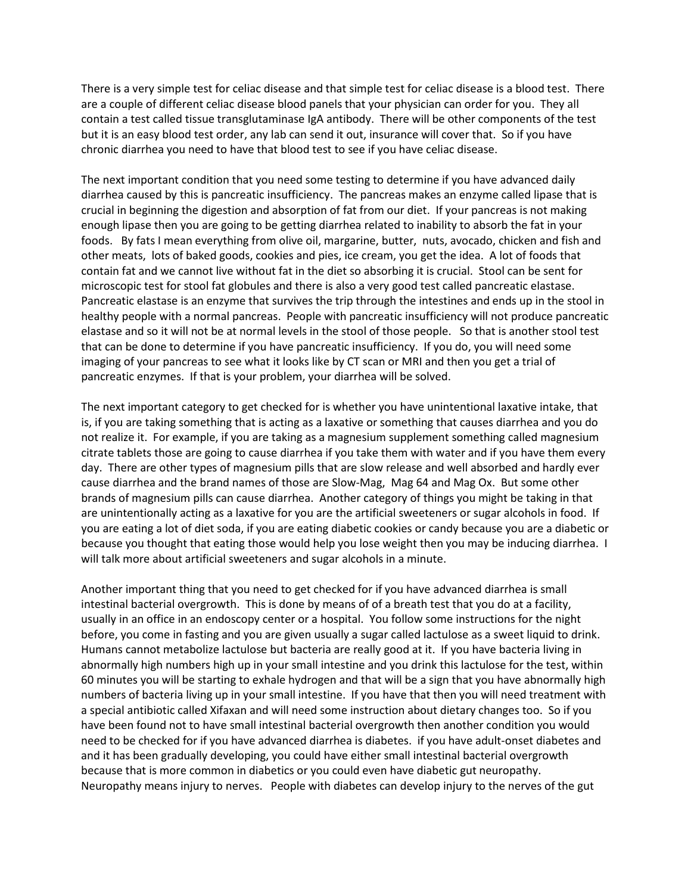There is a very simple test for celiac disease and that simple test for celiac disease is a blood test. There are a couple of different celiac disease blood panels that your physician can order for you. They all contain a test called tissue transglutaminase IgA antibody. There will be other components of the test but it is an easy blood test order, any lab can send it out, insurance will cover that. So if you have chronic diarrhea you need to have that blood test to see if you have celiac disease.

The next important condition that you need some testing to determine if you have advanced daily diarrhea caused by this is pancreatic insufficiency. The pancreas makes an enzyme called lipase that is crucial in beginning the digestion and absorption of fat from our diet. If your pancreas is not making enough lipase then you are going to be getting diarrhea related to inability to absorb the fat in your foods. By fats I mean everything from olive oil, margarine, butter, nuts, avocado, chicken and fish and other meats, lots of baked goods, cookies and pies, ice cream, you get the idea. A lot of foods that contain fat and we cannot live without fat in the diet so absorbing it is crucial. Stool can be sent for microscopic test for stool fat globules and there is also a very good test called pancreatic elastase. Pancreatic elastase is an enzyme that survives the trip through the intestines and ends up in the stool in healthy people with a normal pancreas. People with pancreatic insufficiency will not produce pancreatic elastase and so it will not be at normal levels in the stool of those people. So that is another stool test that can be done to determine if you have pancreatic insufficiency. If you do, you will need some imaging of your pancreas to see what it looks like by CT scan or MRI and then you get a trial of pancreatic enzymes. If that is your problem, your diarrhea will be solved.

The next important category to get checked for is whether you have unintentional laxative intake, that is, if you are taking something that is acting as a laxative or something that causes diarrhea and you do not realize it. For example, if you are taking as a magnesium supplement something called magnesium citrate tablets those are going to cause diarrhea if you take them with water and if you have them every day. There are other types of magnesium pills that are slow release and well absorbed and hardly ever cause diarrhea and the brand names of those are Slow-Mag, Mag 64 and Mag Ox. But some other brands of magnesium pills can cause diarrhea. Another category of things you might be taking in that are unintentionally acting as a laxative for you are the artificial sweeteners or sugar alcohols in food. If you are eating a lot of diet soda, if you are eating diabetic cookies or candy because you are a diabetic or because you thought that eating those would help you lose weight then you may be inducing diarrhea. I will talk more about artificial sweeteners and sugar alcohols in a minute.

Another important thing that you need to get checked for if you have advanced diarrhea is small intestinal bacterial overgrowth. This is done by means of of a breath test that you do at a facility, usually in an office in an endoscopy center or a hospital. You follow some instructions for the night before, you come in fasting and you are given usually a sugar called lactulose as a sweet liquid to drink. Humans cannot metabolize lactulose but bacteria are really good at it. If you have bacteria living in abnormally high numbers high up in your small intestine and you drink this lactulose for the test, within 60 minutes you will be starting to exhale hydrogen and that will be a sign that you have abnormally high numbers of bacteria living up in your small intestine. If you have that then you will need treatment with a special antibiotic called Xifaxan and will need some instruction about dietary changes too. So if you have been found not to have small intestinal bacterial overgrowth then another condition you would need to be checked for if you have advanced diarrhea is diabetes. if you have adult-onset diabetes and and it has been gradually developing, you could have either small intestinal bacterial overgrowth because that is more common in diabetics or you could even have diabetic gut neuropathy. Neuropathy means injury to nerves. People with diabetes can develop injury to the nerves of the gut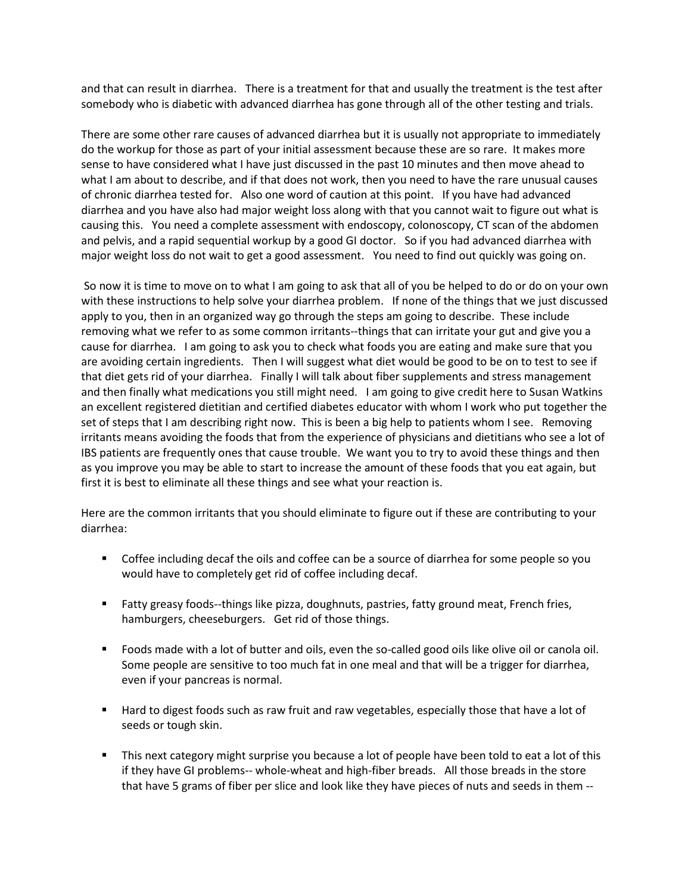and that can result in diarrhea. There is a treatment for that and usually the treatment is the test after somebody who is diabetic with advanced diarrhea has gone through all of the other testing and trials.

There are some other rare causes of advanced diarrhea but it is usually not appropriate to immediately do the workup for those as part of your initial assessment because these are so rare. It makes more sense to have considered what I have just discussed in the past 10 minutes and then move ahead to what I am about to describe, and if that does not work, then you need to have the rare unusual causes of chronic diarrhea tested for. Also one word of caution at this point. If you have had advanced diarrhea and you have also had major weight loss along with that you cannot wait to figure out what is causing this. You need a complete assessment with endoscopy, colonoscopy, CT scan of the abdomen and pelvis, and a rapid sequential workup by a good GI doctor. So if you had advanced diarrhea with major weight loss do not wait to get a good assessment. You need to find out quickly was going on.

So now it is time to move on to what I am going to ask that all of you be helped to do or do on your own with these instructions to help solve your diarrhea problem. If none of the things that we just discussed apply to you, then in an organized way go through the steps am going to describe. These include removing what we refer to as some common irritants--things that can irritate your gut and give you a cause for diarrhea. I am going to ask you to check what foods you are eating and make sure that you are avoiding certain ingredients. Then I will suggest what diet would be good to be on to test to see if that diet gets rid of your diarrhea. Finally I will talk about fiber supplements and stress management and then finally what medications you still might need. I am going to give credit here to Susan Watkins an excellent registered dietitian and certified diabetes educator with whom I work who put together the set of steps that I am describing right now. This is been a big help to patients whom I see. Removing irritants means avoiding the foods that from the experience of physicians and dietitians who see a lot of IBS patients are frequently ones that cause trouble. We want you to try to avoid these things and then as you improve you may be able to start to increase the amount of these foods that you eat again, but first it is best to eliminate all these things and see what your reaction is.

Here are the common irritants that you should eliminate to figure out if these are contributing to your diarrhea:

- **Coffee including decaf the oils and coffee can be a source of diarrhea for some people so you** would have to completely get rid of coffee including decaf.
- Fatty greasy foods--things like pizza, doughnuts, pastries, fatty ground meat, French fries, hamburgers, cheeseburgers. Get rid of those things.
- Foods made with a lot of butter and oils, even the so-called good oils like olive oil or canola oil. Some people are sensitive to too much fat in one meal and that will be a trigger for diarrhea, even if your pancreas is normal.
- **Hard to digest foods such as raw fruit and raw vegetables, especially those that have a lot of** seeds or tough skin.
- **This next category might surprise you because a lot of people have been told to eat a lot of this** if they have GI problems-- whole-wheat and high-fiber breads. All those breads in the store that have 5 grams of fiber per slice and look like they have pieces of nuts and seeds in them --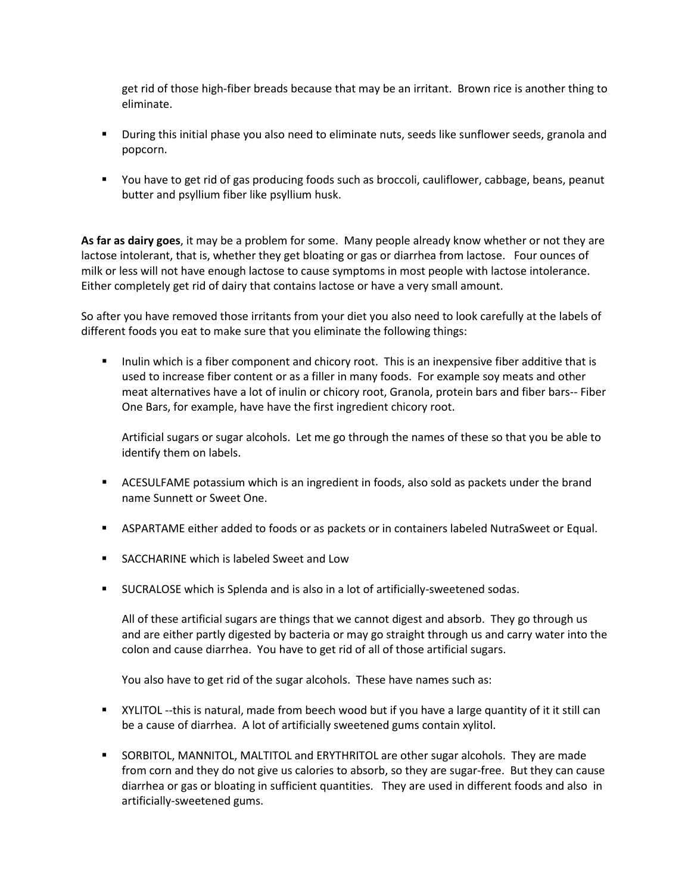get rid of those high-fiber breads because that may be an irritant. Brown rice is another thing to eliminate.

- During this initial phase you also need to eliminate nuts, seeds like sunflower seeds, granola and popcorn.
- You have to get rid of gas producing foods such as broccoli, cauliflower, cabbage, beans, peanut butter and psyllium fiber like psyllium husk.

**As far as dairy goes**, it may be a problem for some. Many people already know whether or not they are lactose intolerant, that is, whether they get bloating or gas or diarrhea from lactose. Four ounces of milk or less will not have enough lactose to cause symptoms in most people with lactose intolerance. Either completely get rid of dairy that contains lactose or have a very small amount.

So after you have removed those irritants from your diet you also need to look carefully at the labels of different foods you eat to make sure that you eliminate the following things:

Inulin which is a fiber component and chicory root. This is an inexpensive fiber additive that is used to increase fiber content or as a filler in many foods. For example soy meats and other meat alternatives have a lot of inulin or chicory root, Granola, protein bars and fiber bars-- Fiber One Bars, for example, have have the first ingredient chicory root.

Artificial sugars or sugar alcohols. Let me go through the names of these so that you be able to identify them on labels.

- **EXECT ACTSULFAME potassium which is an ingredient in foods, also sold as packets under the brand** name Sunnett or Sweet One.
- ASPARTAME either added to foods or as packets or in containers labeled NutraSweet or Equal.
- **SACCHARINE which is labeled Sweet and Low**
- SUCRALOSE which is Splenda and is also in a lot of artificially-sweetened sodas.

All of these artificial sugars are things that we cannot digest and absorb. They go through us and are either partly digested by bacteria or may go straight through us and carry water into the colon and cause diarrhea. You have to get rid of all of those artificial sugars.

You also have to get rid of the sugar alcohols. These have names such as:

- XYLITOL --this is natural, made from beech wood but if you have a large quantity of it it still can be a cause of diarrhea. A lot of artificially sweetened gums contain xylitol.
- SORBITOL, MANNITOL, MALTITOL and ERYTHRITOL are other sugar alcohols. They are made from corn and they do not give us calories to absorb, so they are sugar-free. But they can cause diarrhea or gas or bloating in sufficient quantities. They are used in different foods and also in artificially-sweetened gums.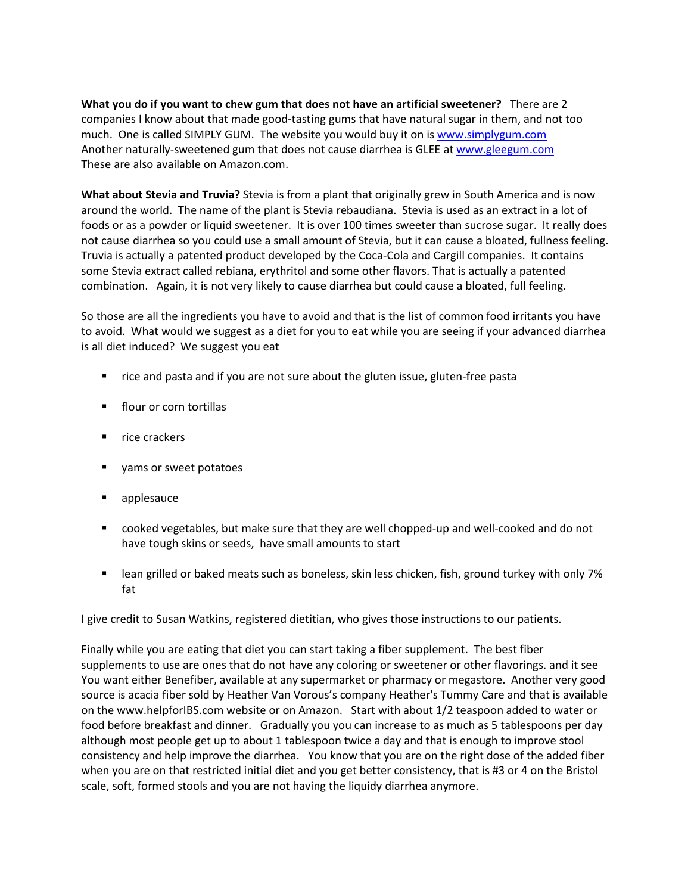**What you do if you want to chew gum that does not have an artificial sweetener?** There are 2 companies I know about that made good-tasting gums that have natural sugar in them, and not too much. One is called SIMPLY GUM. The website you would buy it on i[s www.simplygum.com](http://www.simplygum.com/) Another naturally-sweetened gum that does not cause diarrhea is GLEE a[t www.gleegum.com](http://www.gleegum.com/)  These are also available on Amazon.com.

**What about Stevia and Truvia?** Stevia is from a plant that originally grew in South America and is now around the world. The name of the plant is Stevia rebaudiana. Stevia is used as an extract in a lot of foods or as a powder or liquid sweetener. It is over 100 times sweeter than sucrose sugar. It really does not cause diarrhea so you could use a small amount of Stevia, but it can cause a bloated, fullness feeling. Truvia is actually a patented product developed by the Coca-Cola and Cargill companies. It contains some Stevia extract called rebiana, erythritol and some other flavors. That is actually a patented combination. Again, it is not very likely to cause diarrhea but could cause a bloated, full feeling.

So those are all the ingredients you have to avoid and that is the list of common food irritants you have to avoid. What would we suggest as a diet for you to eat while you are seeing if your advanced diarrhea is all diet induced? We suggest you eat

- rice and pasta and if you are not sure about the gluten issue, gluten-free pasta
- **Fillour or corn tortillas**
- $\blacksquare$  rice crackers
- **u** yams or sweet potatoes
- applesauce
- cooked vegetables, but make sure that they are well chopped-up and well-cooked and do not have tough skins or seeds, have small amounts to start
- **EXECT** lean grilled or baked meats such as boneless, skin less chicken, fish, ground turkey with only 7% fat

I give credit to Susan Watkins, registered dietitian, who gives those instructions to our patients.

Finally while you are eating that diet you can start taking a fiber supplement. The best fiber supplements to use are ones that do not have any coloring or sweetener or other flavorings. and it see You want either Benefiber, available at any supermarket or pharmacy or megastore. Another very good source is acacia fiber sold by Heather Van Vorous's company Heather's Tummy Care and that is available on the www.helpforIBS.com website or on Amazon. Start with about 1/2 teaspoon added to water or food before breakfast and dinner. Gradually you you can increase to as much as 5 tablespoons per day although most people get up to about 1 tablespoon twice a day and that is enough to improve stool consistency and help improve the diarrhea. You know that you are on the right dose of the added fiber when you are on that restricted initial diet and you get better consistency, that is #3 or 4 on the Bristol scale, soft, formed stools and you are not having the liquidy diarrhea anymore.